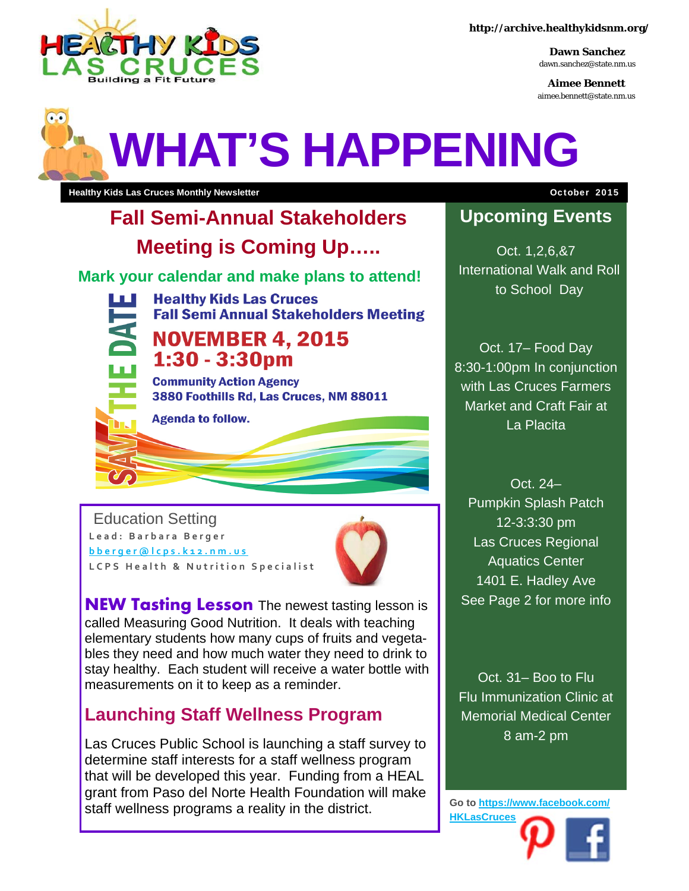

**http://archive.healthykidsnm.org/** 

**Dawn Sanchez**  dawn.sanchez@state.nm.us

**Aimee Bennett**  aimee.bennett@state.nm.us

# **WHAT'S HAPPENING**

**Healthy Kids Las Cruces Monthly Newsletter Community Advices And Advice And Advice And Advice And Advice And Advice And Advice And Advice And Advice And Advice And Advice And Advice And Advice And Advice And Advice And** 

# **Fall Semi-Annual Stakeholders Meeting is Coming Up…..**

**Mark your calendar and make plans to attend!** 



**Healthy Kids Las Cruces Fall Semi Annual Stakeholders Meeting** 

### **NOVEMBER 4.2015** 1:30 - 3:30pm

**Community Action Agency** 3880 Foothills Rd, Las Cruces, NM 88011



**Agenda to follow.** 

Education Setting **Lead: Barbara Berger bberger@lcps.k12.nm.us LCPS Health & Nutrition Specialist** 



**NEW Tasting Lesson** The newest tasting lesson is called Measuring Good Nutrition. It deals with teaching elementary students how many cups of fruits and vegetables they need and how much water they need to drink to stay healthy. Each student will receive a water bottle with measurements on it to keep as a reminder.

## **Launching Staff Wellness Program**

Las Cruces Public School is launching a staff survey to determine staff interests for a staff wellness program that will be developed this year. Funding from a HEAL grant from Paso del Norte Health Foundation will make staff wellness programs a reality in the district.

## **Upcoming Events**

Oct. 1,2,6,&7 International Walk and Roll to School Day

Oct. 17– Food Day 8:30-1:00pm In conjunction with Las Cruces Farmers Market and Craft Fair at La Placita

Oct. 24– Pumpkin Splash Patch 12-3:3:30 pm Las Cruces Regional Aquatics Center 1401 E. Hadley Ave See Page 2 for more info

Oct. 31– Boo to Flu Flu Immunization Clinic at Memorial Medical Center 8 am-2 pm

**Go to https://www.facebook.com/ HKLasCruces**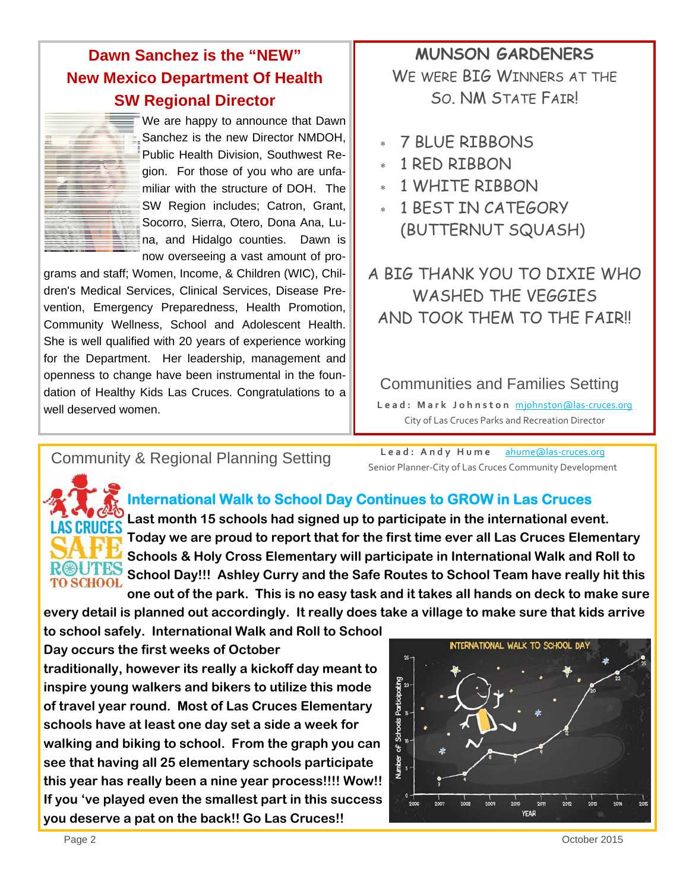#### **Dawn Sanchez is the "NEW" New Mexico Department Of Health SW Regional Director**



We are happy to announce that Dawn Sanchez is the new Director NMDOH, Public Health Division, Southwest Region. For those of you who are unfamiliar with the structure of DOH. The SW Region includes; Catron, Grant, Socorro, Sierra, Otero, Dona Ana, Luna, and Hidalgo counties. Dawn is now overseeing a vast amount of pro-

grams and staff; Women, Income, & Children (WIC), Children's Medical Services, Clinical Services, Disease Prevention, Emergency Preparedness, Health Promotion, Community Wellness, School and Adolescent Health. She is well qualified with 20 years of experience working for the Department. Her leadership, management and openness to change have been instrumental in the foundation of Healthy Kids Las Cruces. Congratulations to a well deserved women.

#### **MUNSON GARDENERS**  WE WERE BIG WINNERS AT THE SO. NM STATE FAIR!

- 7 BLUE RIBBONS
- 1 RED RIBBON
- 1 WHITE RIBBON
- 1 BEST IN CATEGORY (BUTTERNUT SQUASH)

A BIG THANK YOU TO DIXIE WHO WASHED THE VEGGIES AND TOOK THEM TO THE FAIR!

Communities and Families Setting

**Lead: Mark Johnston** mjohnston@las‐cruces.org City of Las Cruces Parks and Recreation Director

Lead: Andy Hume ahume@las-cruces.org **Community & Regional Planning Setting**<br>
Senior Planner-City of Las Cruces Community Development



#### **International Walk to School Day Continues to GROW in Las Cruces**

**Last month 15 schools had signed up to participate in the international event. Today we are proud to report that for the first time ever all Las Cruces Elementary Schools & Holy Cross Elementary will participate in International Walk and Roll to School Day!!! Ashley Curry and the Safe Routes to School Team have really hit this one out of the park. This is no easy task and it takes all hands on deck to make sure** 

**every detail is planned out accordingly. It really does take a village to make sure that kids arrive** 

**to school safely. International Walk and Roll to School Day occurs the first weeks of October traditionally, however its really a kickoff day meant to inspire young walkers and bikers to utilize this mode** 

**of travel year round. Most of Las Cruces Elementary schools have at least one day set a side a week for walking and biking to school. From the graph you can see that having all 25 elementary schools participate this year has really been a nine year process!!!! Wow!! If you 've played even the smallest part in this success you deserve a pat on the back!! Go Las Cruces!!**